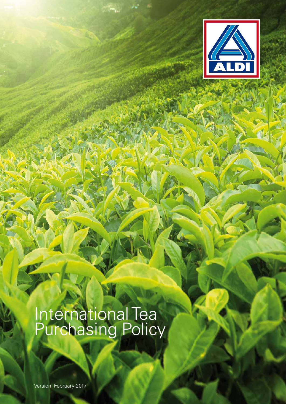

# International Tea Purchasing Policy

Version: February 2017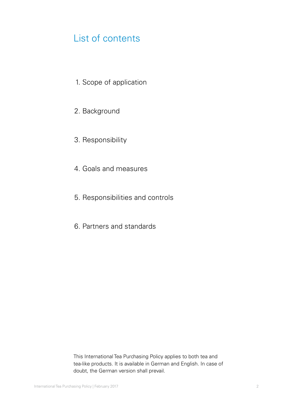# List of contents

- 1. Scope of application
- 2. Background
- 3. Responsibility
- 4. Goals and measures
- 5. Responsibilities and controls
- 6. Partners and standards

This International Tea Purchasing Policy applies to both tea and tea-like products. It is available in German and English. In case of doubt, the German version shall prevail.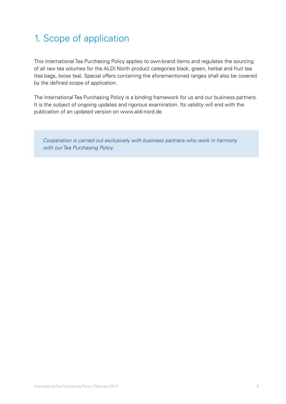# 1. Scope of application

This International Tea Purchasing Policy applies to own-brand items and regulates the sourcing of all raw tea volumes for the ALDI North product categories black, green, herbal and fruit tea (tea bags, loose tea). Special offers containing the aforementioned ranges shall also be covered by the defined scope of application.

The International Tea Purchasing Policy is a binding framework for us and our business partners. It is the subject of ongoing updates and rigorous examination. Its validity will end with the publication of an updated version on www.aldi-nord.de

 *Cooperation is carried out exclusively with business partners who work in harmony with our Tea Purchasing Policy.*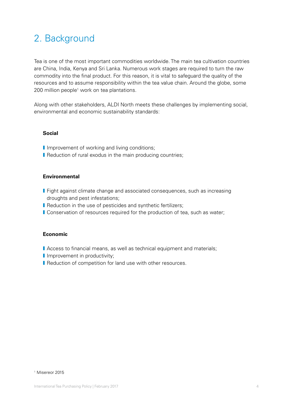# 2. Background

Tea is one of the most important commodities worldwide. The main tea cultivation countries are China, India, Kenya and Sri Lanka. Numerous work stages are required to turn the raw commodity into the final product. For this reason, it is vital to safeguard the quality of the resources and to assume responsibility within the tea value chain. Around the globe, some 200 million people<sup>1</sup> work on tea plantations.

Along with other stakeholders, ALDI North meets these challenges by implementing social, environmental and economic sustainability standards:

### **Social**

- I Improvement of working and living conditions;
- **Reduction of rural exodus in the main producing countries;**

### **Environmental**

- **I** Fight against climate change and associated consequences, such as increasing droughts and pest infestations;
- **Reduction in the use of pesticides and synthetic fertilizers;**
- **I** Conservation of resources required for the production of tea, such as water;

### **Economic**

- I Access to financial means, as well as technical equipment and materials;
- **I** Improvement in productivity;
- **I** Reduction of competition for land use with other resources.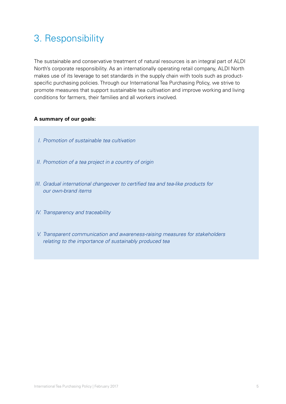# 3. Responsibility

The sustainable and conservative treatment of natural resources is an integral part of ALDI North's corporate responsibility. As an internationally operating retail company, ALDI North makes use of its leverage to set standards in the supply chain with tools such as productspecific purchasing policies. Through our International Tea Purchasing Policy, we strive to promote measures that support sustainable tea cultivation and improve working and living conditions for farmers, their families and all workers involved.

## **A summary of our goals:**

- *I. Promotion of sustainable tea cultivation*
- *II. Promotion of a tea project in a country of origin*
- *III. Gradual international changeover to certified tea and tea-like products for our own-brand items*
- *IV. Transparency and traceability*
- *V. Transparent communication and awareness-raising measures for stakeholders relating to the importance of sustainably produced tea*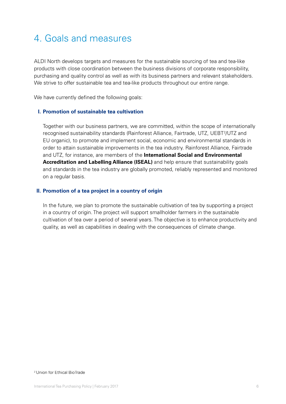# 4. Goals and measures

ALDI North develops targets and measures for the sustainable sourcing of tea and tea-like products with close coordination between the business divisions of corporate responsibility, purchasing and quality control as well as with its business partners and relevant stakeholders. We strive to offer sustainable tea and tea-like products throughout our entire range.

We have currently defined the following goals:

### **I. Promotion of sustainable tea cultivation**

 Together with our business partners, we are committed, within the scope of internationally recognised sustainability standards (Rainforest Alliance, Fairtrade, UTZ, UEBT<sup>2</sup>/UTZ and EU organic), to promote and implement social, economic and environmental standards in order to attain sustainable improvements in the tea industry. Rainforest Alliance, Fairtrade and UTZ, for instance, are members of the **International Social and Environmental Accreditation and Labelling Alliance (ISEAL)** and help ensure that sustainability goals and standards in the tea industry are globally promoted, reliably represented and monitored on a regular basis.

### **II. Promotion of a tea project in a country of origin**

 In the future, we plan to promote the sustainable cultivation of tea by supporting a project in a country of origin. The project will support smallholder farmers in the sustainable cultivation of tea over a period of several years. The objective is to enhance productivity and quality, as well as capabilities in dealing with the consequences of climate change.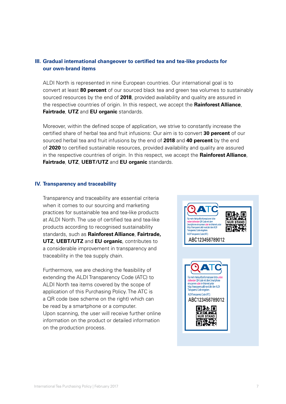# **III. Gradual international changeover to certified tea and tea-like products for our own-brand items**

 ALDI North is represented in nine European countries. Our international goal is to convert at least **80 percent** of our sourced black tea and green tea volumes to sustainably sourced resources by the end of **2018**, provided availability and quality are assured in the respective countries of origin. In this respect, we accept the **Rainforest Alliance**, **Fairtrade**, **UTZ** and **EU organic** standards.

Moreover, within the defined scope of application, we strive to constantly increase the certified share of herbal tea and fruit infusions: Our aim is to convert **30 percent** of our sourced herbal tea and fruit infusions by the end of **2018** and **40 percent** by the end of **2020** to certified sustainable resources, provided availability and quality are assured in the respective countries of origin. In this respect, we accept the **Rainforest Alliance**, **Fairtrade**, **UTZ**, **UEBT/UTZ** and **EU organic** standards.

### **IV. Transparency and traceability**

 Transparency and traceability are essential criteria when it comes to our sourcing and marketing practices for sustainable tea and tea-like products at ALDI North. The use of certified tea and tea-like products according to recognised sustainability standards, such as **Rainforest Alliance**, **Fairtrade, UTZ**, **UEBT/UTZ** and **EU organic**, contributes to a considerable improvement in transparency and traceability in the tea supply chain.

 Furthermore, we are checking the feasibility of extending the ALDI Transparency Code (ATC) to ALDI North tea items covered by the scope of application of this Purchasing Policy. The ATC is a QR code (see scheme on the right) which can be read by a smartphone or a computer. Upon scanning, the user will receive further online information on the product or detailed information on the production process.

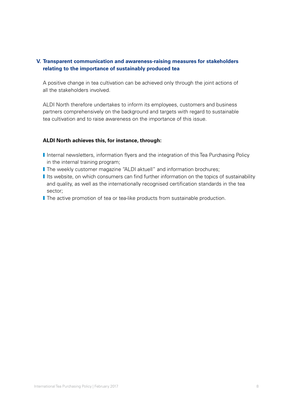# **V. Transparent communication and awareness-raising measures for stakeholders relating to the importance of sustainably produced tea**

 A positive change in tea cultivation can be achieved only through the joint actions of all the stakeholders involved.

 ALDI North therefore undertakes to inform its employees, customers and business partners comprehensively on the background and targets with regard to sustainable tea cultivation and to raise awareness on the importance of this issue.

### **ALDI North achieves this, for instance, through:**

- I Internal newsletters, information flyers and the integration of this Tea Purchasing Policy in the internal training program;
- **I** The weekly customer magazine "ALDI aktuell" and information brochures;
- I Its website, on which consumers can find further information on the topics of sustainability and quality, as well as the internationally recognised certification standards in the tea sector;
- **I** The active promotion of tea or tea-like products from sustainable production.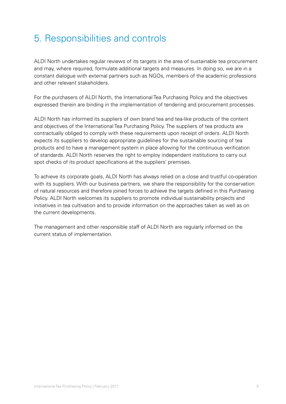# 5. Responsibilities and controls

ALDI North undertakes regular reviews of its targets in the area of sustainable tea procurement and may, where required, formulate additional targets and measures. In doing so, we are in a constant dialogue with external partners such as NGOs, members of the academic professions and other relevant stakeholders.

For the purchasers of ALDI North, the International Tea Purchasing Policy and the objectives expressed therein are binding in the implementation of tendering and procurement processes.

ALDI North has informed its suppliers of own brand tea and tea-like products of the content and objectives of the International Tea Purchasing Policy. The suppliers of tea products are contractually obliged to comply with these requirements upon receipt of orders. ALDI North expects its suppliers to develop appropriate guidelines for the sustainable sourcing of tea products and to have a management system in place allowing for the continuous verification of standards. ALDI North reserves the right to employ independent institutions to carry out spot checks of its product specifications at the suppliers' premises.

To achieve its corporate goals, ALDI North has always relied on a close and trustful co-operation with its suppliers. With our business partners, we share the responsibility for the conservation of natural resources and therefore joined forces to achieve the targets defined in this Purchasing Policy. ALDI North welcomes its suppliers to promote individual sustainability projects and initiatives in tea cultivation and to provide information on the approaches taken as well as on the current developments.

The management and other responsible staff of ALDI North are regularly informed on the current status of implementation.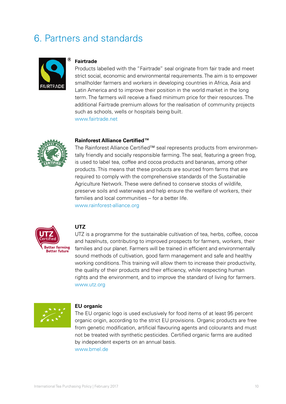# 6. Partners and standards



#### **Fairtrade**

 Products labelled with the "Fairtrade" seal originate from fair trade and meet strict social, economic and environmental requirements. The aim is to empower smallholder farmers and workers in developing countries in Africa, Asia and Latin America and to improve their position in the world market in the long term. The farmers will receive a fixed minimum price for their resources. The additional Fairtrade premium allows for the realisation of community projects such as schools, wells or hospitals being built. www.fairtrade.net



#### **Rainforest Alliance Certified™**

The Rainforest Alliance Certified™ seal represents products from environmentally friendly and socially responsible farming. The seal, featuring a green frog, is used to label tea, coffee and cocoa products and bananas, among other products. This means that these products are sourced from farms that are required to comply with the comprehensive standards of the Sustainable Agriculture Network. These were defined to conserve stocks of wildlife, preserve soils and waterways and help ensure the welfare of workers, their families and local communities – for a better life. www.rainforest-alliance.org



### **UTZ**

 UTZ is a programme for the sustainable cultivation of tea, herbs, coffee, cocoa and hazelnuts, contributing to improved prospects for farmers, workers, their families and our planet. Farmers will be trained in efficient and environmentally sound methods of cultivation, good farm management and safe and healthy working conditions. This training will allow them to increase their productivity, the quality of their products and their efficiency, while respecting human rights and the environment, and to improve the standard of living for farmers. www.utz.org



#### **EU organic**

 The EU organic logo is used exclusively for food items of at least 95 percent organic origin, according to the strict EU provisions. Organic products are free from genetic modification, artificial flavouring agents and colourants and must not be treated with synthetic pesticides. Certified organic farms are audited by independent experts on an annual basis. www.bmel.de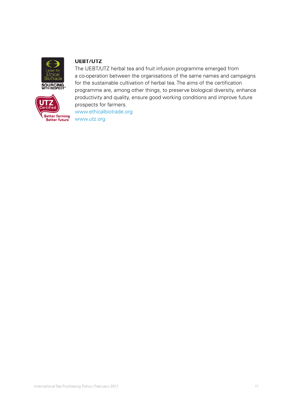



# **UEBT/UTZ**

 The UEBT/UTZ herbal tea and fruit infusion programme emerged from a co-operation between the organisations of the same names and campaigns for the sustainable cultivation of herbal tea. The aims of the certification programme are, among other things, to preserve biological diversity, enhance productivity and quality, ensure good working conditions and improve future prospects for farmers.

www.ethicalbiotrade.org **Better rarming**<br>**Better future** WWW.UtZ.Org